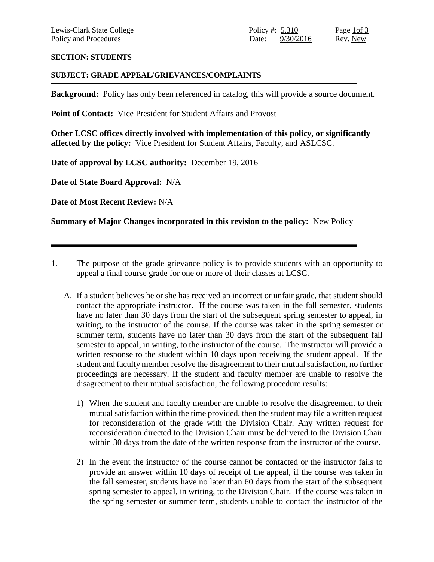# **SECTION: STUDENTS**

# **SUBJECT: GRADE APPEAL/GRIEVANCES/COMPLAINTS**

**Background:** Policy has only been referenced in catalog, this will provide a source document.

Point of Contact: Vice President for Student Affairs and Provost

**Other LCSC offices directly involved with implementation of this policy, or significantly affected by the policy:** Vice President for Student Affairs, Faculty, and ASLCSC.

**Date of approval by LCSC authority:** December 19, 2016

**Date of State Board Approval:** N/A

**Date of Most Recent Review:** N/A

**Summary of Major Changes incorporated in this revision to the policy:** New Policy

- 1. The purpose of the grade grievance policy is to provide students with an opportunity to appeal a final course grade for one or more of their classes at LCSC.
	- A. If a student believes he or she has received an incorrect or unfair grade, that student should contact the appropriate instructor. If the course was taken in the fall semester, students have no later than 30 days from the start of the subsequent spring semester to appeal, in writing, to the instructor of the course. If the course was taken in the spring semester or summer term, students have no later than 30 days from the start of the subsequent fall semester to appeal, in writing, to the instructor of the course. The instructor will provide a written response to the student within 10 days upon receiving the student appeal. If the student and faculty member resolve the disagreement to their mutual satisfaction, no further proceedings are necessary. If the student and faculty member are unable to resolve the disagreement to their mutual satisfaction, the following procedure results:
		- 1) When the student and faculty member are unable to resolve the disagreement to their mutual satisfaction within the time provided, then the student may file a written request for reconsideration of the grade with the Division Chair. Any written request for reconsideration directed to the Division Chair must be delivered to the Division Chair within 30 days from the date of the written response from the instructor of the course.
		- 2) In the event the instructor of the course cannot be contacted or the instructor fails to provide an answer within 10 days of receipt of the appeal, if the course was taken in the fall semester, students have no later than 60 days from the start of the subsequent spring semester to appeal, in writing, to the Division Chair. If the course was taken in the spring semester or summer term, students unable to contact the instructor of the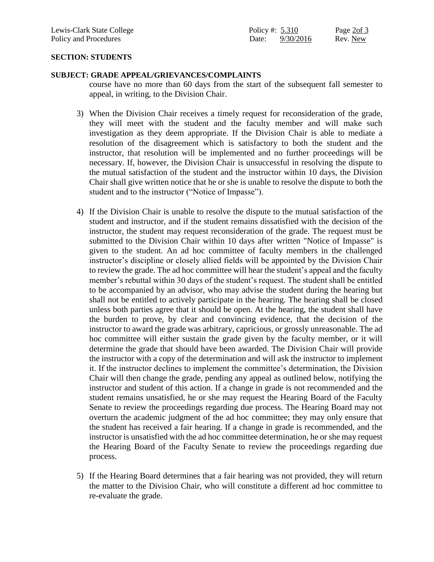# **SECTION: STUDENTS**

# **SUBJECT: GRADE APPEAL/GRIEVANCES/COMPLAINTS**

course have no more than 60 days from the start of the subsequent fall semester to appeal, in writing, to the Division Chair.

- 3) When the Division Chair receives a timely request for reconsideration of the grade, they will meet with the student and the faculty member and will make such investigation as they deem appropriate. If the Division Chair is able to mediate a resolution of the disagreement which is satisfactory to both the student and the instructor, that resolution will be implemented and no further proceedings will be necessary. If, however, the Division Chair is unsuccessful in resolving the dispute to the mutual satisfaction of the student and the instructor within 10 days, the Division Chair shall give written notice that he or she is unable to resolve the dispute to both the student and to the instructor ("Notice of Impasse").
- 4) If the Division Chair is unable to resolve the dispute to the mutual satisfaction of the student and instructor, and if the student remains dissatisfied with the decision of the instructor, the student may request reconsideration of the grade. The request must be submitted to the Division Chair within 10 days after written "Notice of Impasse" is given to the student. An ad hoc committee of faculty members in the challenged instructor's discipline or closely allied fields will be appointed by the Division Chair to review the grade. The ad hoc committee will hear the student's appeal and the faculty member's rebuttal within 30 days of the student's request. The student shall be entitled to be accompanied by an advisor, who may advise the student during the hearing but shall not be entitled to actively participate in the hearing. The hearing shall be closed unless both parties agree that it should be open. At the hearing, the student shall have the burden to prove, by clear and convincing evidence, that the decision of the instructor to award the grade was arbitrary, capricious, or grossly unreasonable. The ad hoc committee will either sustain the grade given by the faculty member, or it will determine the grade that should have been awarded. The Division Chair will provide the instructor with a copy of the determination and will ask the instructor to implement it. If the instructor declines to implement the committee's determination, the Division Chair will then change the grade, pending any appeal as outlined below, notifying the instructor and student of this action. If a change in grade is not recommended and the student remains unsatisfied, he or she may request the Hearing Board of the Faculty Senate to review the proceedings regarding due process. The Hearing Board may not overturn the academic judgment of the ad hoc committee; they may only ensure that the student has received a fair hearing. If a change in grade is recommended, and the instructor is unsatisfied with the ad hoc committee determination, he or she may request the Hearing Board of the Faculty Senate to review the proceedings regarding due process.
- 5) If the Hearing Board determines that a fair hearing was not provided, they will return the matter to the Division Chair, who will constitute a different ad hoc committee to re-evaluate the grade.